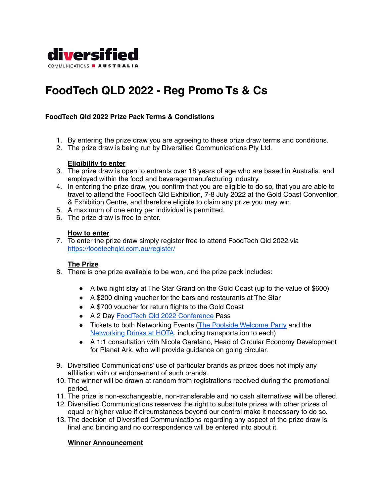

# **FoodTech QLD 2022 - Reg Promo Ts & Cs**

# **FoodTech Qld 2022 Prize Pack Terms & Condistions**

- 1. By entering the prize draw you are agreeing to these prize draw terms and conditions.
- 2. The prize draw is being run by Diversified Communications Pty Ltd.

#### **Eligibility to enter**

- 3. The prize draw is open to entrants over 18 years of age who are based in Australia, and employed within the food and beverage manufacturing industry.
- 4. In entering the prize draw, you confirm that you are eligible to do so, that you are able to travel to attend the FoodTech Qld Exhibition, 7-8 July 2022 at the Gold Coast Convention & Exhibition Centre, and therefore eligible to claim any prize you may win.
- 5. A maximum of one entry per individual is permitted.
- 6. The prize draw is free to enter.

#### **How to enter**

7. To enter the prize draw simply register free to attend FoodTech Qld 2022 via <https://foodtechqld.com.au/register/>

## **The Prize**

- 8. There is one prize available to be won, and the prize pack includes:
	- A two night stay at The Star Grand on the Gold Coast (up to the value of \$600)
	- A \$200 dining voucher for the bars and restaurants at The Star
	- A \$700 voucher for return flights to the Gold Coast
	- A 2 Day FoodTech Qld 2022 [Conference](https://foodtechqld.com.au/whats-on/foodtech-qld-2-day-conference/) Pass
	- Tickets to both Networking Events (The Poolside [Welcome](https://foodtechqld.com.au/whats-on/welcome-party-at-the-star/) Party and the [Networking](https://foodtechqld.com.au/whats-on/networking-drinks-at-hota/) Drinks at HOTA, including transportation to each)
	- A 1:1 consultation with Nicole Garafano, Head of Circular Economy Development for Planet Ark, who will provide guidance on going circular.
- 9. Diversified Communications' use of particular brands as prizes does not imply any affiliation with or endorsement of such brands.
- 10. The winner will be drawn at random from registrations received during the promotional period.
- 11. The prize is non-exchangeable, non-transferable and no cash alternatives will be offered.
- 12. Diversified Communications reserves the right to substitute prizes with other prizes of equal or higher value if circumstances beyond our control make it necessary to do so.
- 13. The decision of Diversified Communications regarding any aspect of the prize draw is final and binding and no correspondence will be entered into about it.

## **Winner Announcement**